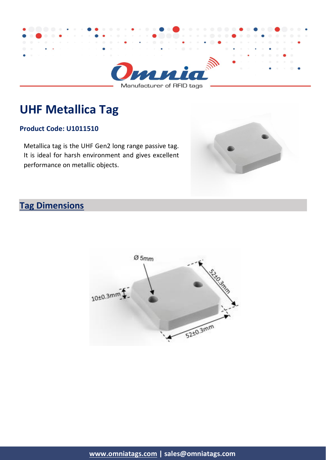

Manufacturer of RFID tags

# **UHF Metallica Tag**

#### **Product Code: U1011510**

Metallica tag is the UHF Gen2 long range passive tag. It is ideal for harsh environment and gives excellent performance on metallic objects.



## **Tag Dimensions**

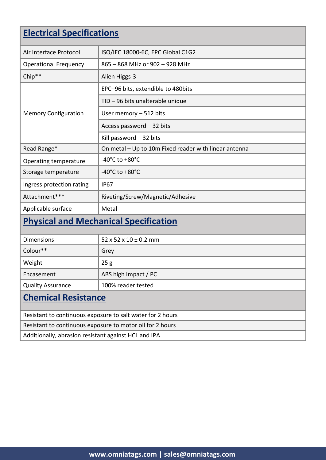## **Electrical Specifications**

| Air Interface Protocol                                     | ISO/IEC 18000-6C, EPC Global C1G2                     |  |
|------------------------------------------------------------|-------------------------------------------------------|--|
| <b>Operational Frequency</b>                               | 865 - 868 MHz or 902 - 928 MHz                        |  |
| Chip**                                                     | Alien Higgs-3                                         |  |
| <b>Memory Configuration</b>                                | EPC-96 bits, extendible to 480bits                    |  |
|                                                            | TID - 96 bits unalterable unique                      |  |
|                                                            | User memory - 512 bits                                |  |
|                                                            | Access password - 32 bits                             |  |
|                                                            | Kill password $-32$ bits                              |  |
| Read Range*                                                | On metal - Up to 10m Fixed reader with linear antenna |  |
| Operating temperature                                      | -40 $^{\circ}$ C to +80 $^{\circ}$ C                  |  |
| Storage temperature                                        | -40°C to +80°C                                        |  |
| Ingress protection rating                                  | <b>IP67</b>                                           |  |
| Attachment***                                              | Riveting/Screw/Magnetic/Adhesive                      |  |
| Applicable surface                                         | Metal                                                 |  |
| <b>Physical and Mechanical Specification</b>               |                                                       |  |
| <b>Dimensions</b>                                          | $52 \times 52 \times 10 \pm 0.2$ mm                   |  |
| Colour**                                                   | Grey                                                  |  |
| Weight                                                     | 25g                                                   |  |
| Encasement                                                 | ABS high Impact / PC                                  |  |
| <b>Quality Assurance</b>                                   | 100% reader tested                                    |  |
| <b>Chemical Resistance</b>                                 |                                                       |  |
| Resistant to continuous exposure to salt water for 2 hours |                                                       |  |
| Resistant to continuous exposure to motor oil for 2 hours  |                                                       |  |

Additionally, abrasion resistant against HCL and IPA